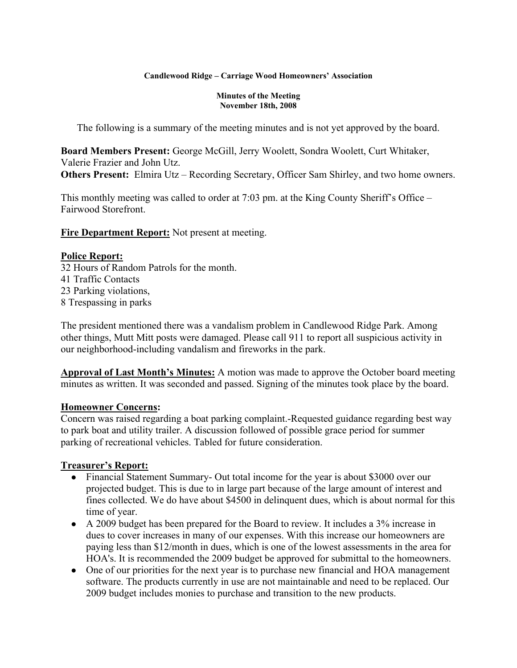#### **Candlewood Ridge – Carriage Wood Homeowners' Association**

#### **Minutes of the Meeting November 18th, 2008**

The following is a summary of the meeting minutes and is not yet approved by the board.

**Board Members Present:** George McGill, Jerry Woolett, Sondra Woolett, Curt Whitaker, Valerie Frazier and John Utz. **Others Present:** Elmira Utz – Recording Secretary, Officer Sam Shirley, and two home owners.

This monthly meeting was called to order at 7:03 pm. at the King County Sheriff's Office – Fairwood Storefront.

**Fire Department Report:** Not present at meeting.

## **Police Report:**

32 Hours of Random Patrols for the month. 41 Traffic Contacts 23 Parking violations, 8 Trespassing in parks

The president mentioned there was a vandalism problem in Candlewood Ridge Park. Among other things, Mutt Mitt posts were damaged. Please call 911 to report all suspicious activity in our neighborhood-including vandalism and fireworks in the park.

**Approval of Last Month's Minutes:** A motion was made to approve the October board meeting minutes as written. It was seconded and passed. Signing of the minutes took place by the board.

## **Homeowner Concerns:**

Concern was raised regarding a boat parking complaint.-Requested guidance regarding best way to park boat and utility trailer. A discussion followed of possible grace period for summer parking of recreational vehicles. Tabled for future consideration.

# **Treasurer's Report:**

- Financial Statement Summary- Out total income for the year is about \$3000 over our projected budget. This is due to in large part because of the large amount of interest and fines collected. We do have about \$4500 in delinquent dues, which is about normal for this time of year.
- A 2009 budget has been prepared for the Board to review. It includes a 3% increase in dues to cover increases in many of our expenses. With this increase our homeowners are paying less than \$12/month in dues, which is one of the lowest assessments in the area for HOA's. It is recommended the 2009 budget be approved for submittal to the homeowners.
- One of our priorities for the next year is to purchase new financial and HOA management software. The products currently in use are not maintainable and need to be replaced. Our 2009 budget includes monies to purchase and transition to the new products.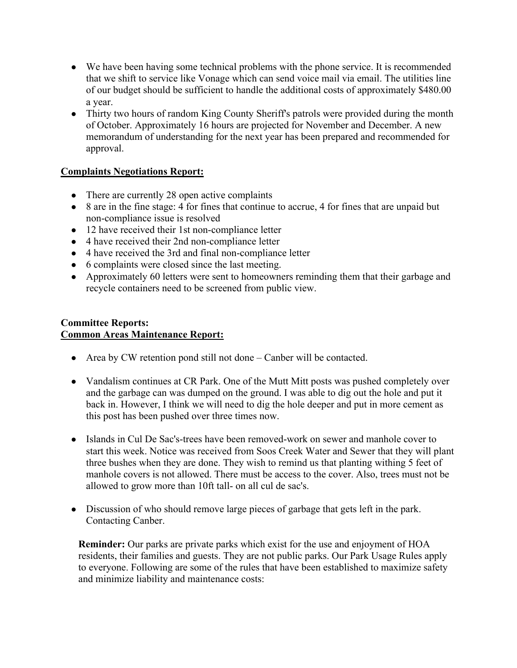- We have been having some technical problems with the phone service. It is recommended that we shift to service like Vonage which can send voice mail via email. The utilities line of our budget should be sufficient to handle the additional costs of approximately \$480.00 a year.
- Thirty two hours of random King County Sheriff's patrols were provided during the month of October. Approximately 16 hours are projected for November and December. A new memorandum of understanding for the next year has been prepared and recommended for approval.

# **Complaints Negotiations Report:**

- There are currently 28 open active complaints
- 8 are in the fine stage: 4 for fines that continue to accrue, 4 for fines that are unpaid but non-compliance issue is resolved
- 12 have received their 1st non-compliance letter
- 4 have received their 2nd non-compliance letter
- 4 have received the 3rd and final non-compliance letter
- 6 complaints were closed since the last meeting.
- Approximately 60 letters were sent to homeowners reminding them that their garbage and recycle containers need to be screened from public view.

# **Committee Reports: Common Areas Maintenance Report:**

- Area by CW retention pond still not done  $-\text{Canber will be contacted.}$
- Vandalism continues at CR Park. One of the Mutt Mitt posts was pushed completely over and the garbage can was dumped on the ground. I was able to dig out the hole and put it back in. However, I think we will need to dig the hole deeper and put in more cement as this post has been pushed over three times now.
- Islands in Cul De Sac's-trees have been removed-work on sewer and manhole cover to start this week. Notice was received from Soos Creek Water and Sewer that they will plant three bushes when they are done. They wish to remind us that planting withing 5 feet of manhole covers is not allowed. There must be access to the cover. Also, trees must not be allowed to grow more than 10ft tall- on all cul de sac's.
- Discussion of who should remove large pieces of garbage that gets left in the park. Contacting Canber.

**Reminder:** Our parks are private parks which exist for the use and enjoyment of HOA residents, their families and guests. They are not public parks. Our Park Usage Rules apply to everyone. Following are some of the rules that have been established to maximize safety and minimize liability and maintenance costs: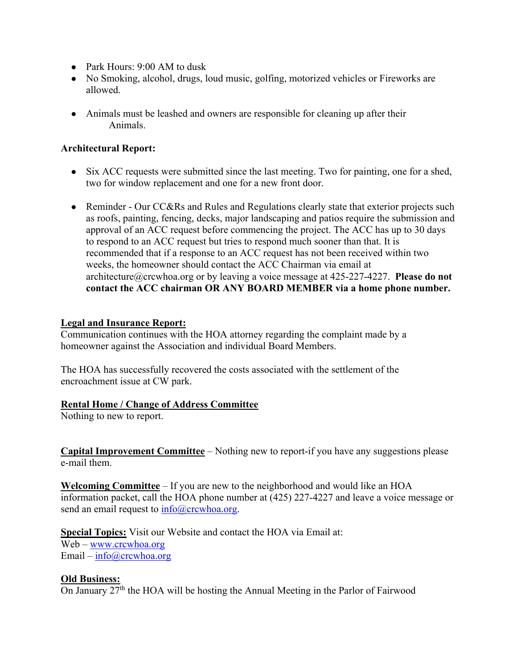- Park Hours: 9:00 AM to dusk
- No Smoking, alcohol, drugs, loud music, golfing, motorized vehicles or Fireworks are allowed.
- Animals must be leashed and owners are responsible for cleaning up after their Animals.

# **Architectural Report:**

- Six ACC requests were submitted since the last meeting. Two for painting, one for a shed, two for window replacement and one for a new front door.
- Reminder Our CC&Rs and Rules and Regulations clearly state that exterior projects such as roofs, painting, fencing, decks, major landscaping and patios require the submission and approval of an ACC request before commencing the project. The ACC has up to 30 days to respond to an ACC request but tries to respond much sooner than that. It is recommended that if a response to an ACC request has not been received within two weeks, the homeowner should contact the ACC Chairman via email at architecture@crcwhoa.org or by leaving a voice message at 425-227-4227. **Please do not contact the ACC chairman OR ANY BOARD MEMBER via a home phone number.**

## **Legal and Insurance Report:**

Communication continues with the HOA attorney regarding the complaint made by a homeowner against the Association and individual Board Members.

The HOA has successfully recovered the costs associated with the settlement of the encroachment issue at CW park.

## **Rental Home / Change of Address Committee**

Nothing to new to report.

**Capital Improvement Committee** – Nothing new to report-if you have any suggestions please e-mail them.

**Welcoming Committee** – If you are new to the neighborhood and would like an HOA information packet, call the HOA phone number at (425) 227-4227 and leave a voice message or send an email request to  $info@crcwhoa.org$ .

**Special Topics:** Visit our Website and contact the HOA via Email at: Web – www.crcwhoa.org Email – info@crcwhoa.org

## **Old Business:**

On January  $27<sup>th</sup>$  the HOA will be hosting the Annual Meeting in the Parlor of Fairwood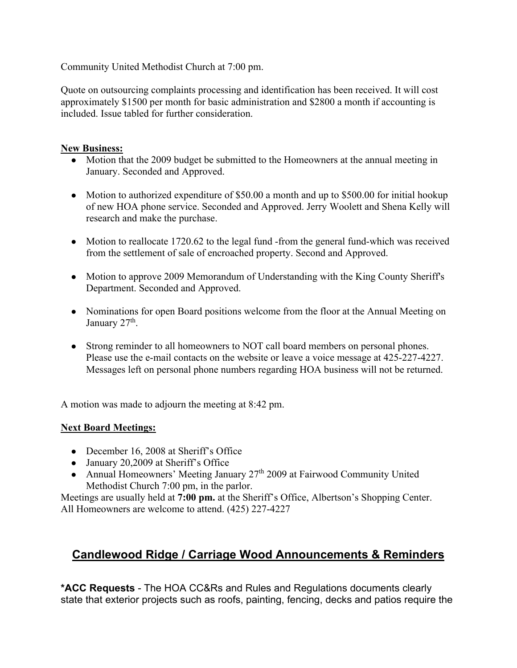Community United Methodist Church at 7:00 pm.

Quote on outsourcing complaints processing and identification has been received. It will cost approximately \$1500 per month for basic administration and \$2800 a month if accounting is included. Issue tabled for further consideration.

## **New Business:**

- Motion that the 2009 budget be submitted to the Homeowners at the annual meeting in January. Seconded and Approved.
- Motion to authorized expenditure of \$50.00 a month and up to \$500.00 for initial hookup of new HOA phone service. Seconded and Approved. Jerry Woolett and Shena Kelly will research and make the purchase.
- Motion to reallocate 1720.62 to the legal fund -from the general fund-which was received from the settlement of sale of encroached property. Second and Approved.
- Motion to approve 2009 Memorandum of Understanding with the King County Sheriff's Department. Seconded and Approved.
- Nominations for open Board positions welcome from the floor at the Annual Meeting on January  $27<sup>th</sup>$ .
- Strong reminder to all homeowners to NOT call board members on personal phones. Please use the e-mail contacts on the website or leave a voice message at 425-227-4227. Messages left on personal phone numbers regarding HOA business will not be returned.

A motion was made to adjourn the meeting at 8:42 pm.

# **Next Board Meetings:**

- December 16, 2008 at Sheriff's Office
- January 20,2009 at Sheriff's Office
- Annual Homeowners' Meeting January 27<sup>th</sup> 2009 at Fairwood Community United Methodist Church 7:00 pm, in the parlor.

Meetings are usually held at **7:00 pm.** at the Sheriff's Office, Albertson's Shopping Center. All Homeowners are welcome to attend. (425) 227-4227

# **Candlewood Ridge / Carriage Wood Announcements & Reminders**

**\*ACC Requests** - The HOA CC&Rs and Rules and Regulations documents clearly state that exterior projects such as roofs, painting, fencing, decks and patios require the